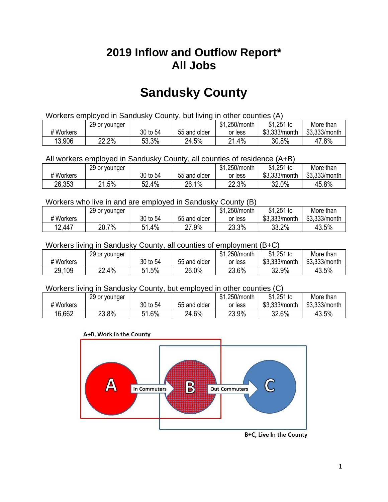## **2019 Inflow and Outflow Report\* All Jobs**

# **Sandusky County**

| Workers employed in Sandusky County, but living in other counties (A) |                                                            |          |              |         |               |               |  |  |  |
|-----------------------------------------------------------------------|------------------------------------------------------------|----------|--------------|---------|---------------|---------------|--|--|--|
|                                                                       | $$1,251$ to<br>\$1,250/month<br>More than<br>29 or younger |          |              |         |               |               |  |  |  |
| # Workers                                                             |                                                            | 30 to 54 | 55 and older | or less | \$3.333/month | \$3,333/month |  |  |  |
| 13,906                                                                | 22.2%                                                      | 53.3%    | 24.5%        | 21.4%   | 30.8%         | 47.8%         |  |  |  |

All workers employed in Sandusky County, all counties of residence (A+B)

|           | 29 or younger |          |              | \$1,250/month | $$1,251$ to   | More than     |
|-----------|---------------|----------|--------------|---------------|---------------|---------------|
| # Workers |               | 30 to 54 | 55 and older | or less       | \$3,333/month | \$3,333/month |
| 26,353    | 21.5%         | 52.4%    | 26.1%        | 22.3%         | 32.0%         | 45.8%         |

#### Workers who live in and are employed in Sandusky County (B)

|           | 29 or younger |               |              | \$1,250/month | $$1,251$ to   | More than     |
|-----------|---------------|---------------|--------------|---------------|---------------|---------------|
| # Workers |               | 30 to 54      | 55 and older | or less       | \$3,333/month | \$3,333/month |
| 12,447    | 20.7%         | $1.4\%$<br>51 | 27.9%        | 23.3%         | 33.2%         | 43.5%         |

Workers living in Sandusky County, all counties of employment (B+C)

|           | 29 or younger |          |              | \$1,250/month | \$1,251 to    | More than     |
|-----------|---------------|----------|--------------|---------------|---------------|---------------|
| # Workers |               | 30 to 54 | 55 and older | or less       | \$3,333/month | \$3,333/month |
| 29,109    | 22.4%         | 51.5%    | 26.0%        | 23.6%         | 32.9%         | 43.5%         |

#### Workers living in Sandusky County, but employed in other counties (C)

|           | 29 or younger |              |              | \$1,250/month | \$1,251 to    | More than     |
|-----------|---------------|--------------|--------------|---------------|---------------|---------------|
| # Workers |               | 30 to 54     | 55 and older | or less       | \$3,333/month | \$3,333/month |
| 16,662    | 23.8%         | 1.6%<br>C 4. | 24.6%        | 23.9%         | 32.6%         | 43.5%         |





B+C, Live In the County